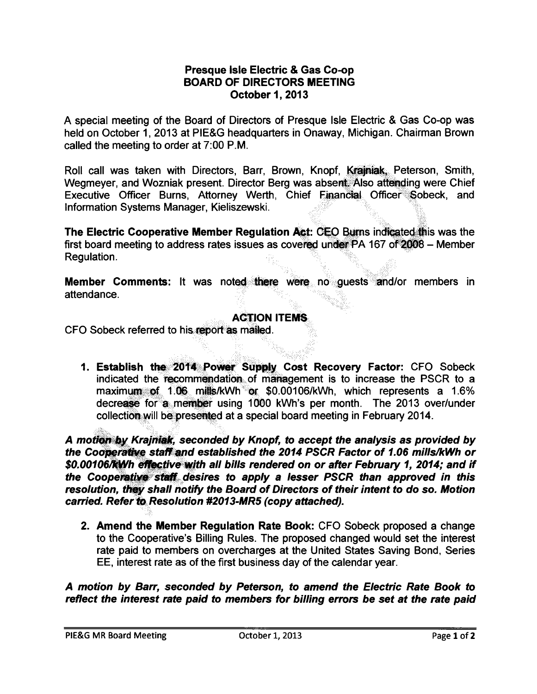#### **Presque Isle Electric** & **Gas Co-op BOARD OF DIRECTORS MEETING October 1, 2013**

A special meeting of the Board of Directors of Presque Isle Electric & Gas Co-op was held on October 1, 2013 at PIE&G headquarters in Onaway, Michigan. Chairman Brown called the meeting to order at 7:00 P.M.

Roll call was taken with Directors, Barr, Brown, Knopf, Krainiak, Peterson, Smith, Wegmeyer, and Wozniak present. Director Berg was absent. Also attending were Chief Executive Officer Burns, Attorney Werth, Chief Financial Officer; Sobeck, and Information Systems Manager, Kieliszewski.

**The Electric Cooperative Member Regulation Act: CEO Burns indicated this was the** first board meeting to address rates issues as covered under  $PA$  167 of  $2008 -$  Member Regulation.

**Member Comments:** It was noted there were no guests and/or members in attendance.

### **ACTION ITEMS**

CFO Sobeck referred to his report as mailed.

decrease for a member using 1000 kWh's per month. The 2013 over/under 1. Establish the 2014 Power Supply Cost Recovery Factor: CFO Sobeck indicated the recommendation of mariagement is to increase the PSCR to a maximum of 1.06 mills/kWh or  $$0.00106/kWh$ , which represents a 1.6% collection will be presented at a special board meeting in February 2014.

A motion by Krajniak, seconded by Knopf, to accept the analysis as provided by the Cooperative staff and established the 2014 PSCR Factor of 1.06 mills/kWh or **\$0.00106Rffl'h ~tive;,Jfjth all bills rendered on or after February 1, 2014; and if**  the Cooperative staff desires to apply a lesser PSCR than approved in this **resolution, they shall notify the Board of Directors of their intent to do so. Motion** carried. Refer to Resolution #2013-MR5 (copy attached).

**2. Amend the Member Regulation Rate Book:** CFO Sobeck proposed a change to the Cooperative's Billing Rules. The proposed changed would set the interest rate paid to members on overcharges at the United States Saving Bond, Series EE, interest rate as of the first business day of the calendar year.

**A motion by Barr, seconded by Peterson, to amend the Electric Rate Book to reflect the interest rate paid to members for billing errors be set at the rate paid**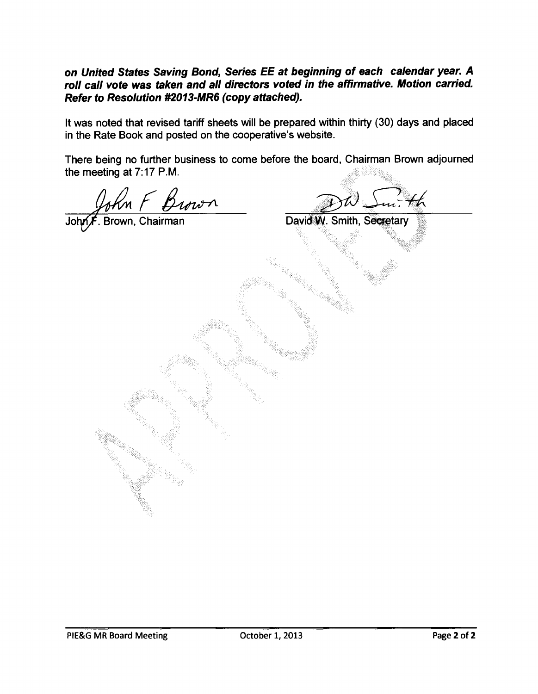**on United States Saving Bond, Series EE at beginning of each calendar year. A roll call vote was taken and all directors voted in the affirmative. Motion carried. Refer to Resolution #2013-MR6 (copy attached).** 

It was noted that revised tariff sheets will be prepared within thirty (30) days and placed in the Rate Book and posted on the cooperative's website.

There being no further business to come before the board, Chairman Brown adjourned the meeting at  $7:17$  P.M.

John F Brown David W. Smith, Secretary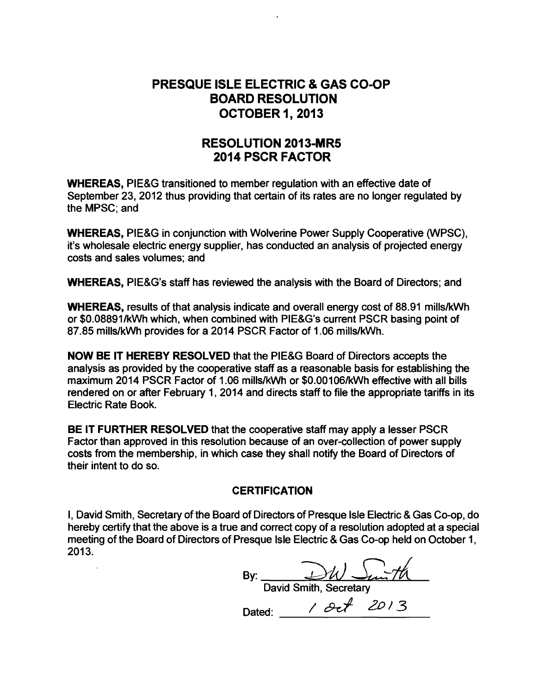## **PRESQUE ISLE ELECTRIC** & **GAS CO-OP BOARD RESOLUTION OCTOBER 1, 2013**

### **RESOLUTION 2013-MRS 2014 PSCR FACTOR**

**WHEREAS,** PIE&G transitioned to member regulation with an effective date of September 23, 2012 thus providing that certain of its rates are no longer regulated by the MPSC; and

**WHEREAS,** PIE&G in conjunction with Wolverine Power Supply Cooperative (WPSC), it's wholesale electric energy supplier, has conducted an analysis of projected energy costs and sales volumes; and

**WHEREAS,** PIE&G's staff has reviewed the analysis with the Board of Directors; and

**WHEREAS,** results of that analysis indicate and overall energy cost of 88.91 mills/kWh or \$0.08891/kWh which, when combined with PIE&G's current PSCR basing point of 87.85 mills/kWh provides for a 2014 PSCR Factor of 1.06 mills/kWh.

**NOW BE** IT **HEREBY RESOLVED** that the PIE&G Board of Directors accepts the analysis as provided by the cooperative staff as a reasonable basis for establishing the maximum 2014 PSCR Factor of 1.06 mills/kWh or \$0.00106/kWh effective with all bills rendered on or after February 1, 2014 and directs staff to file the appropriate tariffs in its Electric Rate Book.

**BE IT FURTHER RESOLVED** that the cooperative staff may apply a lesser PSCR Factor than approved in this resolution because of an over-collection of power supply costs from the membership, in which case they shall notify the Board of Directors of their intent to do so.

#### **CERTIFICATION**

I, David Smith, Secretary of the Board of Directors of Presque Isle Electric & Gas Co-op, do hereby certify that the above is a true and correct copy of a resolution adopted at a special meeting of the Board of Directors of Presque Isle Electric & Gas Co-op held on October 1, 2013.

By:  $\underbrace{\rightarrow\mathcal{W}}$   $\underbrace{\rightarrow\mathcal{W}}$ 

Dated: 1 Oct 2013